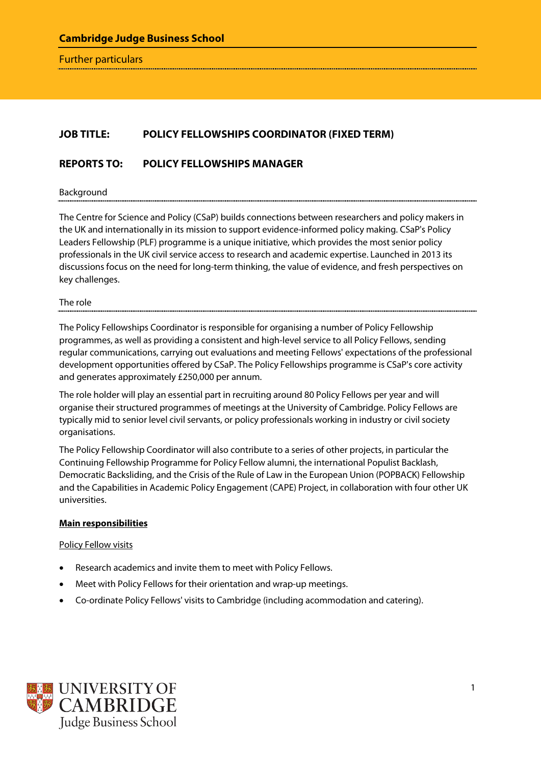Further particulars

# **JOB TITLE: POLICY FELLOWSHIPS COORDINATOR (FIXED TERM)**

### **REPORTS TO: POLICY FELLOWSHIPS MANAGER**

Background

The Centre for Science and Policy (CSaP) builds connections between researchers and policy makers in the UK and internationally in its mission to support evidence-informed policy making. CSaP's Policy Leaders Fellowship (PLF) programme is a unique initiative, which provides the most senior policy professionals in the UK civil service access to research and academic expertise. Launched in 2013 its discussions focus on the need for long-term thinking, the value of evidence, and fresh perspectives on key challenges.

The role

The Policy Fellowships Coordinator is responsible for organising a number of Policy Fellowship programmes, as well as providing a consistent and high-level service to all Policy Fellows, sending regular communications, carrying out evaluations and meeting Fellows' expectations of the professional development opportunities offered by CSaP. The Policy Fellowships programme is CSaP's core activity and generates approximately £250,000 per annum.

The role holder will play an essential part in recruiting around 80 Policy Fellows per year and will organise their structured programmes of meetings at the University of Cambridge. Policy Fellows are typically mid to senior level civil servants, or policy professionals working in industry or civil society organisations.

The Policy Fellowship Coordinator will also contribute to a series of other projects, in particular the Continuing Fellowship Programme for Policy Fellow alumni, the international Populist Backlash, Democratic Backsliding, and the Crisis of the Rule of Law in the European Union (POPBACK) Fellowship and the Capabilities in Academic Policy Engagement (CAPE) Project, in collaboration with four other UK universities.

#### **Main responsibilities**

Policy Fellow visits

- Research academics and invite them to meet with Policy Fellows.
- Meet with Policy Fellows for their orientation and wrap-up meetings.
- Co-ordinate Policy Fellows' visits to Cambridge (including acommodation and catering).

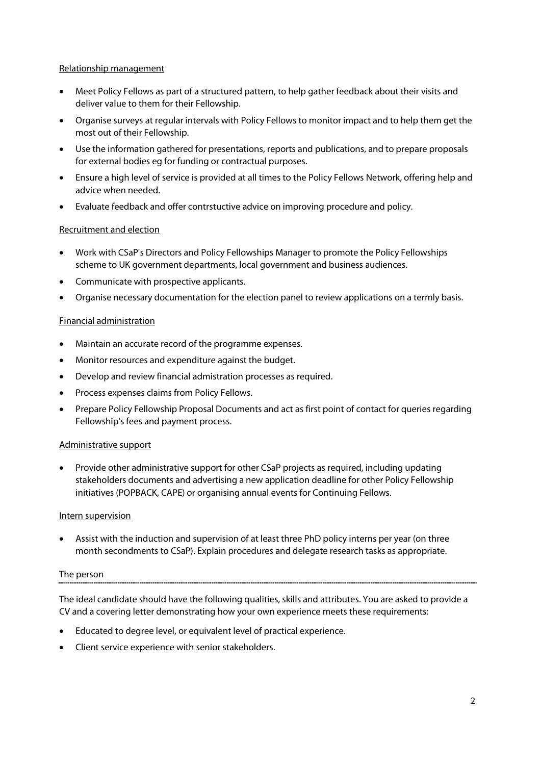#### Relationship management

- Meet Policy Fellows as part of a structured pattern, to help gather feedback about their visits and deliver value to them for their Fellowship.
- Organise surveys at regular intervals with Policy Fellows to monitor impact and to help them get the most out of their Fellowship.
- Use the information gathered for presentations, reports and publications, and to prepare proposals for external bodies eg for funding or contractual purposes.
- Ensure a high level of service is provided at all times to the Policy Fellows Network, offering help and advice when needed.
- Evaluate feedback and offer contrstuctive advice on improving procedure and policy.

## Recruitment and election

- Work with CSaP's Directors and Policy Fellowships Manager to promote the Policy Fellowships scheme to UK government departments, local government and business audiences.
- Communicate with prospective applicants.
- Organise necessary documentation for the election panel to review applications on a termly basis.

### Financial administration

- Maintain an accurate record of the programme expenses.
- Monitor resources and expenditure against the budget.
- Develop and review financial admistration processes as required.
- Process expenses claims from Policy Fellows.
- Prepare Policy Fellowship Proposal Documents and act as first point of contact for queries regarding Fellowship's fees and payment process.

### Administrative support

• Provide other administrative support for other CSaP projects as required, including updating stakeholders documents and advertising a new application deadline for other Policy Fellowship initiatives (POPBACK, CAPE) or organising annual events for Continuing Fellows.

### Intern supervision

Assist with the induction and supervision of at least three PhD policy interns per year (on three month secondments to CSaP). Explain procedures and delegate research tasks as appropriate.

### The person

The ideal candidate should have the following qualities, skills and attributes. You are asked to provide a CV and a covering letter demonstrating how your own experience meets these requirements:

- Educated to degree level, or equivalent level of practical experience.
- Client service experience with senior stakeholders.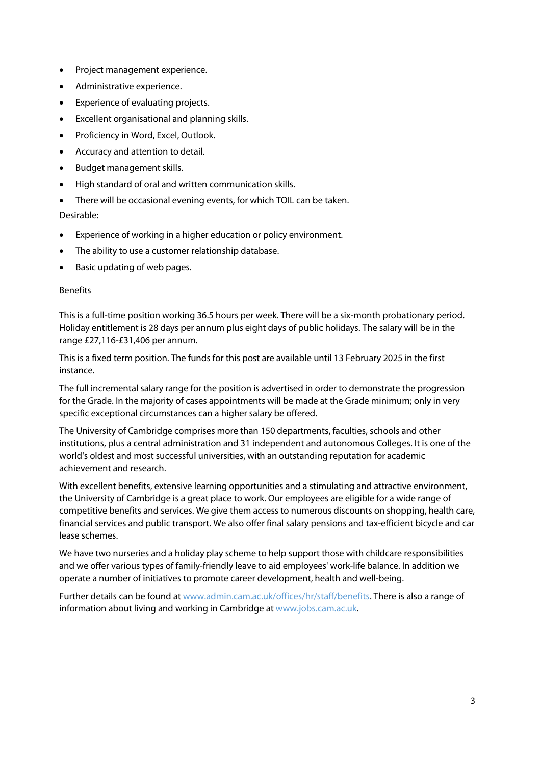- Project management experience.
- Administrative experience.
- Experience of evaluating projects.
- Excellent organisational and planning skills.
- Proficiency in Word, Excel, Outlook.
- Accuracy and attention to detail.
- Budget management skills.
- High standard of oral and written communication skills.
- There will be occasional evening events, for which TOIL can be taken.

Desirable:

- Experience of working in a higher education or policy environment.
- The ability to use a customer relationship database.
- Basic updating of web pages.

### Benefits

This is a full-time position working 36.5 hours per week. There will be a six-month probationary period. Holiday entitlement is 28 days per annum plus eight days of public holidays. The salary will be in the range £27,116-£31,406 per annum.

This is a fixed term position. The funds for this post are available until 13 February 2025 in the first instance.

The full incremental salary range for the position is advertised in order to demonstrate the progression for the Grade. In the majority of cases appointments will be made at the Grade minimum; only in very specific exceptional circumstances can a higher salary be offered.

The University of Cambridge comprises more than 150 departments, faculties, schools and other institutions, plus a central administration and 31 independent and autonomous Colleges. It is one of the world's oldest and most successful universities, with an outstanding reputation for academic achievement and research.

With excellent benefits, extensive learning opportunities and a stimulating and attractive environment, the University of Cambridge is a great place to work. Our employees are eligible for a wide range of competitive benefits and services. We give them access to numerous discounts on shopping, health care, financial services and public transport. We also offer final salary pensions and tax-efficient bicycle and car lease schemes.

We have two nurseries and a holiday play scheme to help support those with childcare responsibilities and we offer various types of family-friendly leave to aid employees' work-life balance. In addition we operate a number of initiatives to promote career development, health and well-being.

Further details can be found a[t www.admin.cam.ac.uk/offices/hr/staff/benefits.](http://www.admin.cam.ac.uk/offices/hr/staff/benefits/) There is also a range of information about living and working in Cambridge a[t www.jobs.cam.ac.uk.](http://www.jobs.cam.ac.uk/)